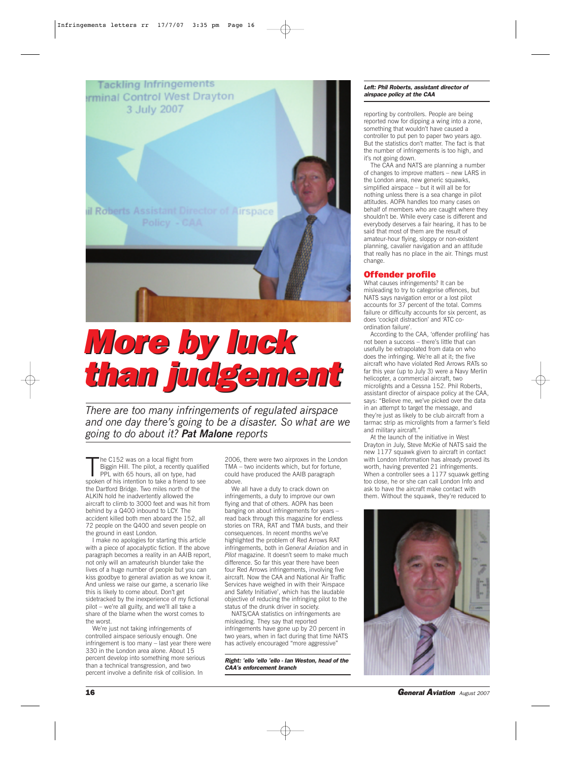

# *More by luck More by luck than judgement than judgement*

*There are too many infringements of regulated airspace and one day there's going to be a disaster. So what are we going to do about it? Pat Malone reports*

The C152 was on a local flight from<br>Biggin Hill. The pilot, a recently qualifie<br>PPL with 65 hours, all on type, had<br>spoken of his intention to take a friend to see he C152 was on a local flight from Biggin Hill. The pilot, a recently qualified PPL with 65 hours, all on type, had the Dartford Bridge. Two miles north of the ALKIN hold he inadvertently allowed the aircraft to climb to 3000 feet and was hit from behind by a Q400 inbound to LCY. The accident killed both men aboard the 152, all 72 people on the Q400 and seven people on the ground in east London.

I make no apologies for starting this article with a piece of apocalyptic fiction. If the above paragraph becomes a reality in an AAIB report, not only will an amateurish blunder take the lives of a huge number of people but you can kiss goodbye to general aviation as we know it. And unless we raise our game, a scenario like this is likely to come about. Don't get sidetracked by the inexperience of my fictional pilot – we're all guilty, and we'll all take a share of the blame when the worst comes to the worst.

We're just not taking infringements of controlled airspace seriously enough. One infringement is too many – last year there were 330 in the London area alone. About 15 percent develop into something more serious than a technical transgression, and two percent involve a definite risk of collision. In

2006, there were two airproxes in the London TMA – two incidents which, but for fortune, could have produced the AAIB paragraph above.

We all have a duty to crack down on infringements, a duty to improve our own flying and that of others. AOPA has been banging on about infringements for years – read back through this magazine for endless stories on TRA, RAT and TMA busts, and their consequences. In recent months we've highlighted the problem of Red Arrows RAT infringements, both in *General Aviation* and in *Pilot* magazine. It doesn't seem to make much difference. So far this year there have been four Red Arrows infringements, involving five aircraft. Now the CAA and National Air Traffic Services have weighed in with their 'Airspace and Safety Initiative', which has the laudable objective of reducing the infringing pilot to the status of the drunk driver in society.

NATS/CAA statistics on infringements are misleading. They say that reported infringements have gone up by 20 percent in two years, when in fact during that time NATS has actively encouraged "more aggressive"

*Right: 'ello 'ello 'ello - Ian Weston, head of the CAA's enforcement branch*

#### *Left: Phil Roberts, assistant director of airspace policy at the CAA*

reporting by controllers. People are being reported now for dipping a wing into a zone, something that wouldn't have caused a controller to put pen to paper two years ago. But the statistics don't matter. The fact is that the number of infringements is too high, and it's not going down.

The CAA and NATS are planning a number of changes to improve matters – new LARS in the London area, new generic squawks, simplified airspace – but it will all be for nothing unless there is a sea change in pilot attitudes. AOPA handles too many cases on behalf of members who are caught where they shouldn't be. While every case is different and everybody deserves a fair hearing, it has to be said that most of them are the result of amateur-hour flying, sloppy or non-existent planning, cavalier navigation and an attitude that really has no place in the air. Things must change.

## Offender profile

What causes infringements? It can be misleading to try to categorise offences, but NATS says navigation error or a lost pilot accounts for 37 percent of the total. Comms failure or difficulty accounts for six percent, as does 'cockpit distraction' and 'ATC coordination failure'.

According to the CAA, 'offender profiling' has not been a success – there's little that can usefully be extrapolated from data on who does the infringing. We're all at it; the five aircraft who have violated Red Arrows RATs so far this year (up to July 3) were a Navy Merlin helicopter, a commercial aircraft, two microlights and a Cessna 152. Phil Roberts, assistant director of airspace policy at the CAA, says: "Believe me, we've picked over the data in an attempt to target the message, and they're just as likely to be club aircraft from a tarmac strip as microlights from a farmer's field and military aircraft."

At the launch of the initiative in West Drayton in July, Steve McKie of NATS said the new 1177 squawk given to aircraft in contact with London Information has already proved its worth, having prevented 21 infringements. When a controller sees a 1177 squawk getting too close, he or she can call London Info and ask to have the aircraft make contact with them. Without the squawk, they're reduced to



**16 General Aviation** *August 2007*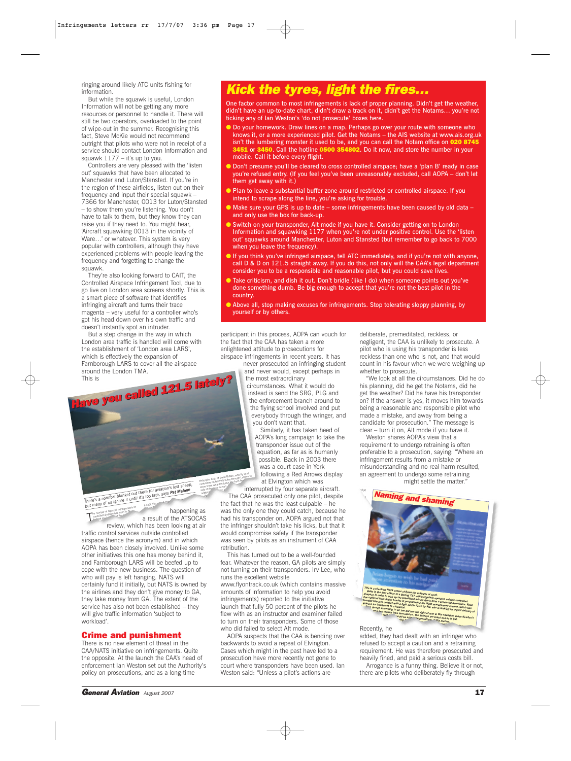ringing around likely ATC units fishing for information.

But while the squawk is useful, London Information will not be getting any more resources or personnel to handle it. There will still be two operators, overloaded to the point of wipe-out in the summer. Recognising this fact, Steve McKie would not recommend outright that pilots who were not in receipt of a service should contact London Information and squawk  $1177 -$  it's up to you.

Controllers are very pleased with the 'listen out' squawks that have been allocated to Manchester and Luton/Stansted. If you're in the region of these airfields, listen out on their frequency and input their special squawk – 7366 for Manchester, 0013 for Luton/Stansted – to show them you're listening. You don't have to talk to them, but they know they can raise you if they need to. You might hear, 'Aircraft squawking 0013 in the vicinity of Ware…' or whatever. This system is very popular with controllers, although they have experienced problems with people leaving the frequency and forgetting to change the squawk.

They're also looking forward to CAIT, the Controlled Airspace Infringement Tool, due to go live on London area screens shortly. This is a smart piece of software that identifies infringing aircraft and turns their trace magenta – very useful for a controller who's got his head down over his own traffic and doesn't instantly spot an intruder.

But a step change in the way in which London area traffic is handled will come with the establishment of 'London area LARS', which is effectively the expansion of Farnborough LARS to cover all the airspace around the London TMA. This is *Have you called 121.5 lately? Have you called 121.5 lately?* ringer right

a result of the ATSOCAS<br>review, which has been looking at air

traffic control services outside controlled airspace (hence the acronym) and in which AOPA has been closely involved. Unlike some other initiatives this one has money behind it, and Farnborough LARS will be beefed up to cope with the new business. The question of who will pay is left hanging. NATS will certainly fund it initially, but NATS is owned by the airlines and they don't give money to GA, they take money from GA. The extent of the service has also not been established – they will give traffic information 'subject to

**There**<sup>'s</sup> a comfort blanket out there for aviation's lost sheep,<br> **There**<sup>'s</sup> a comfort blanket until it's too late, says *Pat Malone*<br>
but many of us ignore it until the same

the number of reported infringements of<br>the number of reported has risen to its he number of the number of the number of the number of the number of the number of the number of the number of the number of the number of the number of the number of the number of the number of the number of the number of

happening as happening as<br>a result of the ATSOCAS

Helicopter Club of Great Britain, who fly local<br>Helicopter Club of Great Britain, who fly london

relationship for the side of the side of the side of the side of the side of the side of the side of the side o<br>Side of the side of the side of the side of the side of the side of the side of the side of the side of the si

the kit. Nor are truly happening



One factor common to most infringements is lack of proper planning. Didn't get the weather, didn't have an up-to-date chart, didn't draw a track on it, didn't get the Notams… you're not ticking any of Ian Weston's 'do not prosecute' boxes here.

- Do your homework. Draw lines on a map. Perhaps go over your route with someone who knows it, or a more experienced pilot. Get the Notams – the AIS website at www.ais.org.uk isn't the lumbering monster it used to be, and you can call the Notam office on 020 8745 3451 or 3450. Call the hotline 0500 354802. Do it now, and store the number in your mobile. Call it before every flight.
- Don't presume you'll be cleared to cross controlled airspace; have a 'plan B' ready in case you're refused entry. (If you feel you've been unreasonably excluded, call AOPA – don't let them get away with it.)
- Plan to leave a substantial buffer zone around restricted or controlled airspace. If you intend to scrape along the line, you're asking for trouble.
- Make sure your GPS is up to date some infringements have been caused by old data and only use the box for back-up.
- Switch on your transponder, Alt mode if you have it. Consider getting on to London Information and squawking 1177 when you're not under positive control. Use the 'listen out' squawks around Manchester, Luton and Stansted (but remember to go back to 7000 when you leave the frequency).
- If you think you've infringed airspace, tell ATC immediately, and if you're not with anyone, call D & D on 121.5 straight away. If you do this, not only will the CAA's legal department consider you to be a responsible and reasonable pilot, but you could save lives.
- Take criticism, and dish it out. Don't bridle (like I do) when someone points out you've done something dumb. Be big enough to accept that you're not the best pilot in the country.
- Above all, stop making excuses for infringements. Stop tolerating sloppy planning, by yourself or by others.

participant in this process, AOPA can vouch for the fact that the CAA has taken a more enlightened attitude to prosecutions for

airspace infringements in recent years. It has never prosecuted an infringing student and never would, except perhaps in

the most extraordinary circumstances. What it would do

instead is send the SRG, PLG and the enforcement branch around to the flying school involved and put everybody through the wringer, and you don't want that.

Similarly, it has taken heed of AOPA's long campaign to take the transponder issue out of the equation, as far as is humanly possible. Back in 2003 there was a court case in York following a Red Arrows display at Elvington which was

interrupted by four separate aircraft. Interrupted by four separate aircraft.<br>The CAA prosecuted only one pilot, despite<br>the fect that he was nuclear public despite Helicopter Club of Great Britain, with London to<br>Helicopter on the Heliroutes through London to elicopter Gillu the Heliroutes thrown the<br>controllers on that life looks like from the<br>show them what screen sontrollers on what life looks<br>show them what screen.<br>side of the radar screen.

the carry prosecuted only one phot, desp<br>the fact that he was the least culpable – he he fact that he was the least curpable – he<br>s was the only one they could catch, because he had his transponder on. AOPA argued not that the infringer shouldn't take his licks, but that it would compromise safety if the transponder was seen by pilots as an instrument of CAA retribution.

This has turned out to be a well-founded fear. Whatever the reason, GA pilots are simply not turning on their transponders. Irv Lee, who runs the excellent website www.flyontrack.co.uk (which contains massive

amounts of information to help you avoid infringements) reported to the initiative launch that fully 50 percent of the pilots he flew with as an instructor and examiner failed to turn on their transponders. Some of those who did failed to select Alt mode.

AOPA suspects that the CAA is bending over backwards to avoid a repeat of Elvington. Cases which might in the past have led to a prosecution have more recently not gone to court where transponders have been used. Ian Weston said: "Unless a pilot's actions are

deliberate, premeditated, reckless, or negligent, the CAA is unlikely to prosecute. A pilot who is using his transponder is less reckless than one who is not, and that would count in his favour when we were weighing up whether to prosecute.

"We look at all the circumstances. Did he do his planning, did he get the Notams, did he get the weather? Did he have his transponder on? If the answer is yes, it moves him towards being a reasonable and responsible pilot who made a mistake, and away from being a candidate for prosecution." The message is clear – turn it on, Alt mode if you have it.

Weston shares AOPA's view that a requirement to undergo retraining is often preferable to a prosecution, saying: "Where an infringement results from a mistake or misunderstanding and no real harm resulted, an agreement to undergo some retraining

might settle the matter."



added, they had dealt with an infringer who refused to accept a caution and a retraining requirement. He was therefore prosecuted and heavily fined, and paid a serious costs bill. Arrogance is a funny thing. Believe it or not, there are pilots who deliberately fly through

*General Aviation August 2007* 17

Crime and punishment There is no new element of threat in the CAA/NATS initiative on infringements. Quite the opposite. At the launch the CAA's head of enforcement Ian Weston set out the Authority's policy on prosecutions, and as a long-time

workload'.

T